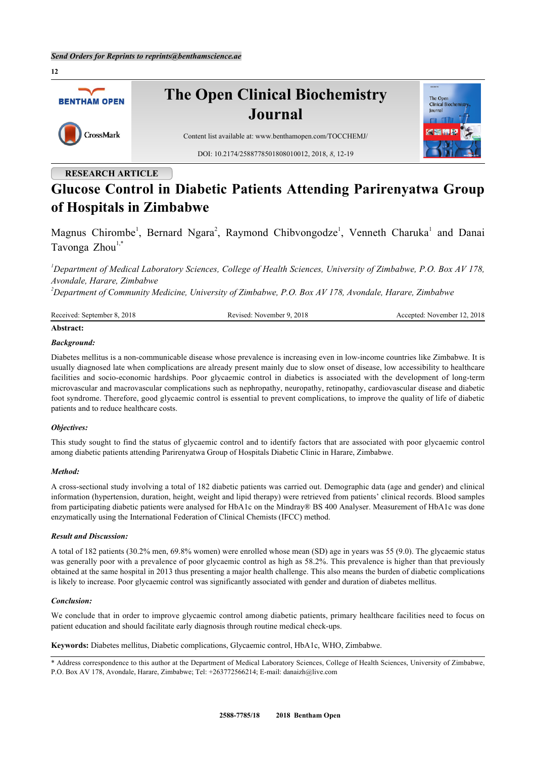

# **RESEARCH ARTICLE**

# **Glucose Control in Diabetic Patients Attending Parirenyatwa Group of Hospitals in Zimbabwe**

Magnus Chirombe<sup>[1](#page-0-0)</sup>, Bernard Ngara<sup>[2](#page-0-1)</sup>, Raymond Chibvongodze<sup>1</sup>, Venneth Charuka<sup>1</sup> and Danai Tavonga  $Zhou^{1,*}$  $Zhou^{1,*}$  $Zhou^{1,*}$  $Zhou^{1,*}$  $Zhou^{1,*}$ 

<span id="page-0-0"></span>*<sup>1</sup>Department of Medical Laboratory Sciences, College of Health Sciences, University of Zimbabwe, P.O. Box AV 178, Avondale, Harare, Zimbabwe*

<span id="page-0-1"></span>*<sup>2</sup>Department of Community Medicine, University of Zimbabwe, P.O. Box AV 178, Avondale, Harare, Zimbabwe*

| Received: Se   | 2018        | 2018        |
|----------------|-------------|-------------|
| 2018           | 'evised:    | November 12 |
| : September 8. | November 9. | .ccented:   |
| $\sim$ $\sim$  | .           |             |
|                |             |             |
|                |             |             |

# **Abstract:**

# *Background:*

Diabetes mellitus is a non-communicable disease whose prevalence is increasing even in low-income countries like Zimbabwe. It is usually diagnosed late when complications are already present mainly due to slow onset of disease, low accessibility to healthcare facilities and socio-economic hardships. Poor glycaemic control in diabetics is associated with the development of long-term microvascular and macrovascular complications such as nephropathy, neuropathy, retinopathy, cardiovascular disease and diabetic foot syndrome. Therefore, good glycaemic control is essential to prevent complications, to improve the quality of life of diabetic patients and to reduce healthcare costs.

# *Objectives:*

This study sought to find the status of glycaemic control and to identify factors that are associated with poor glycaemic control among diabetic patients attending Parirenyatwa Group of Hospitals Diabetic Clinic in Harare, Zimbabwe.

#### *Method:*

A cross-sectional study involving a total of 182 diabetic patients was carried out. Demographic data (age and gender) and clinical information (hypertension, duration, height, weight and lipid therapy) were retrieved from patients' clinical records. Blood samples from participating diabetic patients were analysed for HbA1c on the Mindray® BS 400 Analyser. Measurement of HbA1c was done enzymatically using the International Federation of Clinical Chemists (IFCC) method.

#### *Result and Discussion:*

A total of 182 patients (30.2% men, 69.8% women) were enrolled whose mean (SD) age in years was 55 (9.0). The glycaemic status was generally poor with a prevalence of poor glycaemic control as high as 58.2%. This prevalence is higher than that previously obtained at the same hospital in 2013 thus presenting a major health challenge. This also means the burden of diabetic complications is likely to increase. Poor glycaemic control was significantly associated with gender and duration of diabetes mellitus.

#### *Conclusion:*

We conclude that in order to improve glycaemic control among diabetic patients, primary healthcare facilities need to focus on patient education and should facilitate early diagnosis through routine medical check-ups.

**Keywords:** Diabetes mellitus, Diabetic complications, Glycaemic control, HbA1c, WHO, Zimbabwe.

<span id="page-0-2"></span><sup>\*</sup> Address correspondence to this author at the Department of Medical Laboratory Sciences, College of Health Sciences, University of Zimbabwe, P.O. Box AV 178, Avondale, Harare, Zimbabwe; Tel: +263772566214; E-mail: [danaizh@live.com](mailto:danaizh@live.com)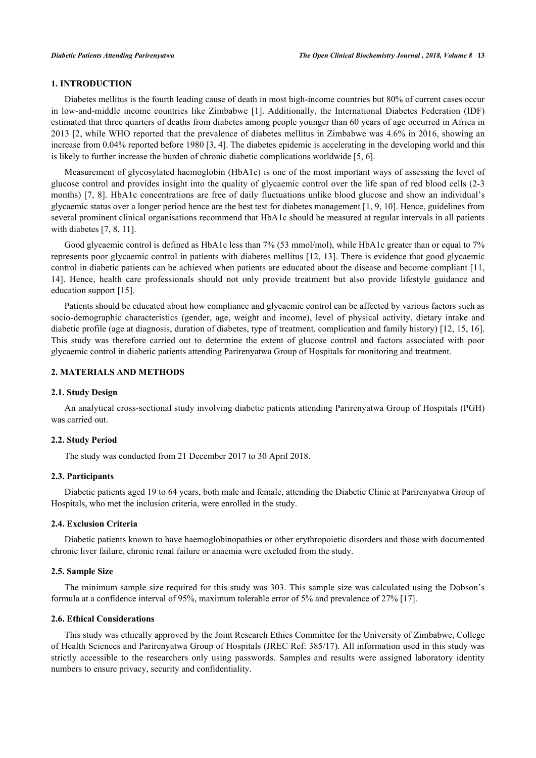# **1. INTRODUCTION**

Diabetes mellitus is the fourth leading cause of death in most high-income countries but 80% of current cases occur in low-and-middle income countries like Zimbabwe [[1\]](#page-5-0). Additionally, the International Diabetes Federation (IDF) estimated that three quarters of deaths from diabetes among people younger than 60 years of age occurred in Africa in 2013 [[2,](#page-5-1) while WHO reported that the prevalence of diabetes mellitus in Zimbabwe was 4.6% in 2016, showing an increase from 0.04% reported before 1980 [[3,](#page-5-2) [4\]](#page-5-3). The diabetes epidemic is accelerating in the developing world and this is likely to further increase the burden of chronic diabetic complications worldwide [\[5](#page-5-4), [6](#page-5-5)].

Measurement of glycosylated haemoglobin (HbA1c) is one of the most important ways of assessing the level of glucose control and provides insight into the quality of glycaemic control over the life span of red blood cells (2-3 months) [\[7](#page-5-6), [8](#page-6-0)]. HbA1c concentrations are free of daily fluctuations unlike blood glucose and show an individual's glycaemic status over a longer period hence are the best test for diabetes management [\[1](#page-5-0), [9](#page-6-1), [10](#page-6-2)]. Hence, guidelines from several prominent clinical organisations recommend that HbA1c should be measured at regular intervals in all patients with diabetes [[7,](#page-5-6) [8,](#page-6-0) [11\]](#page-6-3).

Good glycaemic control is defined as HbA1c less than 7% (53 mmol/mol), while HbA1c greater than or equal to 7% represents poor glycaemic control in patients with diabetes mellitus [[12,](#page-6-4) [13\]](#page-6-5). There is evidence that good glycaemic control in diabetic patients can be achieved when patients are educated about the disease and become compliant [[11](#page-6-3), [14\]](#page-6-6). Hence, health care professionals should not only provide treatment but also provide lifestyle guidance and education support [[15\]](#page-6-7).

Patients should be educated about how compliance and glycaemic control can be affected by various factors such as socio-demographic characteristics (gender, age, weight and income), level of physical activity, dietary intake and diabetic profile (age at diagnosis, duration of diabetes, type of treatment, complication and family history) [\[12](#page-6-4), [15](#page-6-7), [16\]](#page-6-8). This study was therefore carried out to determine the extent of glucose control and factors associated with poor glycaemic control in diabetic patients attending Parirenyatwa Group of Hospitals for monitoring and treatment.

# **2. MATERIALS AND METHODS**

#### **2.1. Study Design**

An analytical cross-sectional study involving diabetic patients attending Parirenyatwa Group of Hospitals (PGH) was carried out.

#### **2.2. Study Period**

The study was conducted from 21 December 2017 to 30 April 2018.

### **2.3. Participants**

Diabetic patients aged 19 to 64 years, both male and female, attending the Diabetic Clinic at Parirenyatwa Group of Hospitals, who met the inclusion criteria, were enrolled in the study.

#### **2.4. Exclusion Criteria**

Diabetic patients known to have haemoglobinopathies or other erythropoietic disorders and those with documented chronic liver failure, chronic renal failure or anaemia were excluded from the study.

#### **2.5. Sample Size**

The minimum sample size required for this study was 303. This sample size was calculated using the Dobson's formula at a confidence interval of 95%, maximum tolerable error of 5% and prevalence of 27% [[17\]](#page-6-9).

#### **2.6. Ethical Considerations**

This study was ethically approved by the Joint Research Ethics Committee for the University of Zimbabwe, College of Health Sciences and Parirenyatwa Group of Hospitals (JREC Ref: 385/17). All information used in this study was strictly accessible to the researchers only using passwords. Samples and results were assigned laboratory identity numbers to ensure privacy, security and confidentiality.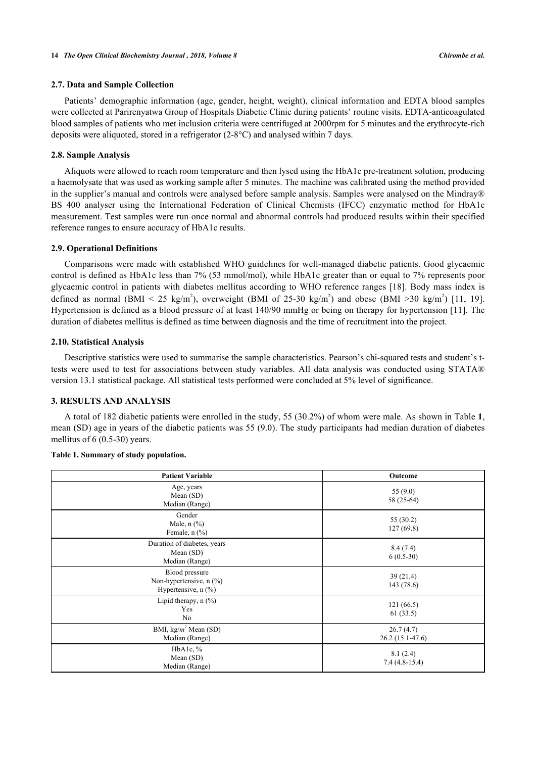#### **2.7. Data and Sample Collection**

Patients' demographic information (age, gender, height, weight), clinical information and EDTA blood samples were collected at Parirenyatwa Group of Hospitals Diabetic Clinic during patients' routine visits. EDTA-anticoagulated blood samples of patients who met inclusion criteria were centrifuged at 2000rpm for 5 minutes and the erythrocyte-rich deposits were aliquoted, stored in a refrigerator (2-8°C) and analysed within 7 days.

#### **2.8. Sample Analysis**

Aliquots were allowed to reach room temperature and then lysed using the HbA1c pre-treatment solution, producing a haemolysate that was used as working sample after 5 minutes. The machine was calibrated using the method provided in the supplier's manual and controls were analysed before sample analysis. Samples were analysed on the Mindray® BS 400 analyser using the International Federation of Clinical Chemists (IFCC) enzymatic method for HbA1c measurement. Test samples were run once normal and abnormal controls had produced results within their specified reference ranges to ensure accuracy of HbA1c results.

#### **2.9. Operational Definitions**

Comparisons were made with established WHO guidelines for well-managed diabetic patients. Good glycaemic control is defined as HbA1c less than 7% (53 mmol/mol), while HbA1c greater than or equal to 7% represents poor glycaemic control in patients with diabetes mellitus according to WHO reference ranges [[18](#page-6-10)]. Body mass index is defined as normal (BMI < 25 kg/m<sup>2</sup>), overweight (BMI of 25-30 kg/m<sup>2</sup>) and obese (BMI >30 kg/m<sup>2</sup>) [\[11](#page-6-3), [19\]](#page-6-11). Hypertension is defined as a blood pressure of at least 140/90 mmHg or being on therapy for hypertension [[11\]](#page-6-3). The duration of diabetes mellitus is defined as time between diagnosis and the time of recruitment into the project.

#### **2.10. Statistical Analysis**

Descriptive statistics were used to summarise the sample characteristics. Pearson's chi-squared tests and student's ttests were used to test for associations between study variables. All data analysis was conducted using STATA® version 13.1 statistical package. All statistical tests performed were concluded at 5% level of significance.

# **3. RESULTS AND ANALYSIS**

A total of 182 diabetic patients were enrolled in the study, 55 (30.2%) of whom were male. As shown in Table **[1](#page-2-0)**, mean (SD) age in years of the diabetic patients was 55 (9.0). The study participants had median duration of diabetes mellitus of 6 (0.5-30) years.

| <b>Patient Variable</b>                                          | Outcome                        |
|------------------------------------------------------------------|--------------------------------|
| Age, years<br>Mean $(SD)$<br>Median (Range)                      | 55 $(9.0)$<br>58 (25-64)       |
| Gender<br>Male, $n$ $(\%)$<br>Female, $n$ $(\%)$                 | 55 (30.2)<br>127(69.8)         |
| Duration of diabetes, years<br>Mean $(SD)$<br>Median (Range)     | 8.4(7.4)<br>$6(0.5-30)$        |
| Blood pressure<br>Non-hypertensive, n (%)<br>Hypertensive, n (%) | 39(21.4)<br>143 (78.6)         |
| Lipid therapy, $n$ $(\%)$<br>Yes<br>No                           | 121(66.5)<br>61 (33.5)         |
| BMI, $kg/m^2$ Mean (SD)<br>Median (Range)                        | 26.7(4.7)<br>$26.2(15.1-47.6)$ |
| HbA1c, %<br>Mean (SD)<br>Median (Range)                          | 8.1(2.4)<br>$7.4(4.8-15.4)$    |

#### <span id="page-2-0"></span>**Table 1. Summary of study population.**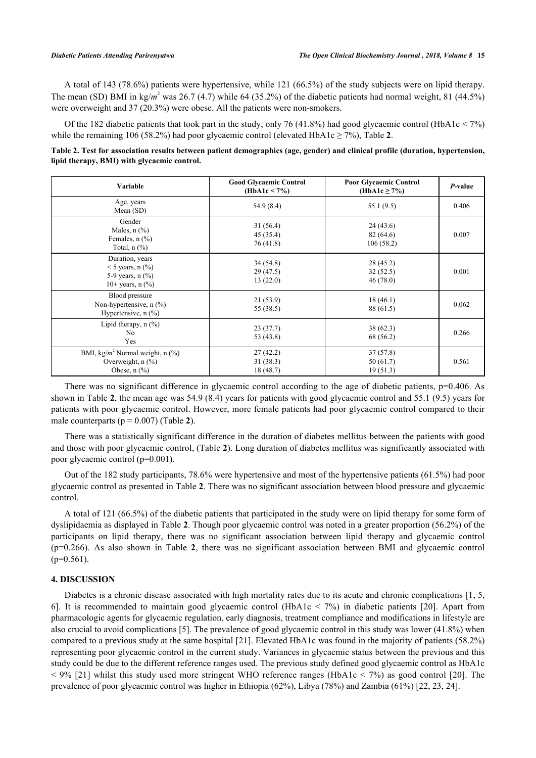A total of 143 (78.6%) patients were hypertensive, while 121 (66.5%) of the study subjects were on lipid therapy. The mean (SD) BMI in kg/ $m^2$  was 26.7 (4.7) while 64 (35.2%) of the diabetic patients had normal weight, 81 (44.5%) were overweight and 37 (20.3%) were obese. All the patients were non-smokers.

Of the 182 diabetic patients that took part in the study, only 76 (41.8%) had good glycaemic control (HbA1c < 7%) while the remaining 106 (58.[2](#page-3-0)%) had poor glycaemic control (elevated HbA1c  $\geq$  7%), Table 2.

<span id="page-3-0"></span>

| Table 2. Test for association results between patient demographics (age, gender) and clinical profile (duration, hypertension, |  |  |  |  |
|--------------------------------------------------------------------------------------------------------------------------------|--|--|--|--|
| lipid therapy, BMI) with glycaemic control.                                                                                    |  |  |  |  |

| Variable                                                                                                  | <b>Good Glycaemic Control</b><br>(HbA1c < 7%) | <b>Poor Glycaemic Control</b><br>(HbA1c $\geq$ 7%) | P-value |
|-----------------------------------------------------------------------------------------------------------|-----------------------------------------------|----------------------------------------------------|---------|
| Age, years<br>Mean $(SD)$                                                                                 | 54.9 (8.4)                                    | 55.1 (9.5)                                         | 0.406   |
| Gender<br>Males, $n$ $\left(\frac{9}{6}\right)$<br>Females, $n$ $(\frac{9}{6})$<br>Total, $n$ $(\%)$      | 31(56.4)<br>45 (35.4)<br>76(41.8)             | 24(43.6)<br>82(64.6)<br>106(58.2)                  | 0.007   |
| Duration, years<br>$<$ 5 years, n $(\%$ )<br>5-9 years, $n$ $(\frac{9}{6})$<br>10+ years, $n$ (%)         | 34(54.8)<br>29(47.5)<br>13(22.0)              | 28 (45.2)<br>32(52.5)<br>46(78.0)                  | 0.001   |
| Blood pressure<br>Non-hypertensive, $n$ $(\%)$<br>Hypertensive, $n$ (%)                                   | 21(53.9)<br>55 (38.5)                         | 18(46.1)<br>88 (61.5)                              | 0.062   |
| Lipid therapy, $n$ $(\%)$<br>N <sub>o</sub><br>Yes                                                        | 23(37.7)<br>53 (43.8)                         | 38 (62.3)<br>68 (56.2)                             | 0.266   |
| BMI, kg/ $m^2$ Normal weight, n $(\%)$<br>Overweight, $n$ $(\%)$<br>Obese, $n$ $\left(\frac{9}{6}\right)$ | 27(42.2)<br>31(38.3)<br>18 (48.7)             | 37(57.8)<br>50(61.7)<br>19(51.3)                   | 0.561   |

There was no significant difference in glycaemic control according to the age of diabetic patients, p=0.406. As shown in Table **[2](#page-3-0)**, the mean age was 54.9 (8.4) years for patients with good glycaemic control and 55.1 (9.5) years for patients with poor glycaemic control. However, more female patients had poor glycaemic control compared to their male counterparts  $(p = 0.007)$  (Table [2](#page-3-0)).

There was a statistically significant difference in the duration of diabetes mellitus between the patients with good and those with poor glycaemic control, (Table **[2](#page-3-0)**). Long duration of diabetes mellitus was significantly associated with poor glycaemic control (p=0.001).

Out of the 182 study participants, 78.6% were hypertensive and most of the hypertensive patients (61.5%) had poor glycaemic control as presented in Table **[2](#page-3-0)**. There was no significant association between blood pressure and glycaemic control.

A total of 121 (66.5%) of the diabetic patients that participated in the study were on lipid therapy for some form of dyslipidaemia as displayed in Table **[2](#page-3-0)**. Though poor glycaemic control was noted in a greater proportion (56.2%) of the participants on lipid therapy, there was no significant association between lipid therapy and glycaemic control (p=0.266). As also shown in Table**2**, there was no significant association between BMI and glycaemic control  $(p=0.561)$ .

# **4. DISCUSSION**

Diabetes is a chronic disease associated with high mortality rates due to its acute and chronic complications [[1,](#page-5-0) [5](#page-5-4), [6\]](#page-5-5). It is recommended to maintain good glycaemic control (HbA1c < 7%) in diabetic patients[[20\]](#page-6-12). Apart from pharmacologic agents for glycaemic regulation, early diagnosis, treatment compliance and modifications in lifestyle are also crucial to avoid complications [\[5](#page-5-4)]. The prevalence of good glycaemic control in this study was lower (41.8%) when compared to a previous study at the same hospital [\[21](#page-6-13)]. Elevated HbA1c was found in the majority of patients (58.2%) representing poor glycaemic control in the current study. Variances in glycaemic status between the previous and this study could be due to the different reference ranges used. The previous study defined good glycaemic control as HbA1c  $<$  9% [[21\]](#page-6-13) whilst this study used more stringent WHO reference ranges (HbA1c  $<$  7%) as good control [[20](#page-6-12)]. The prevalence of poor glycaemic control was higher in Ethiopia (62%), Libya (78%) and Zambia (61%) [\[22](#page-6-14), [23](#page-6-15), [24](#page-6-16)].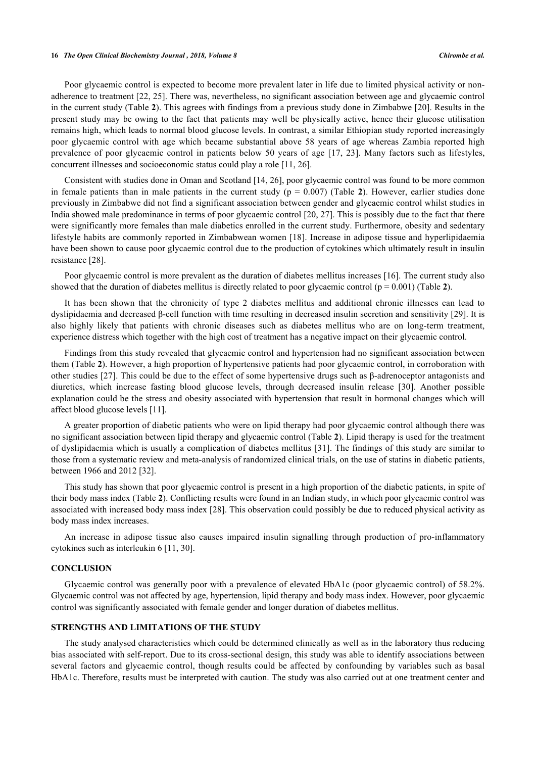#### **16** *The Open Clinical Biochemistry Journal , 2018, Volume 8 Chirombe et al.*

Poor glycaemic control is expected to become more prevalent later in life due to limited physical activity or nonadherence to treatment [[22,](#page-6-14) [25](#page-6-17)]. There was, nevertheless, no significant association between age and glycaemic control in the current study (Table **[2](#page-3-0)**). This agrees with findings from a previous study done in Zimbabwe [[20](#page-6-12)]. Results in the present study may be owing to the fact that patients may well be physically active, hence their glucose utilisation remains high, which leads to normal blood glucose levels. In contrast, a similar Ethiopian study reported increasingly poor glycaemic control with age which became substantial above 58 years of age whereas Zambia reported high prevalence of poor glycaemic control in patients below 50 years of age [[17](#page-6-9), [23\]](#page-6-15). Many factors such as lifestyles, concurrent illnesses and socioeconomic status could play a role [[11,](#page-6-3) [26\]](#page-6-18).

Consistent with studies done in Oman and Scotland [[14,](#page-6-6) [26\]](#page-6-18), poor glycaemic control was found to be more common in female patients than in male patients in the current study ( $p = 0.007$ ) (Table [2](#page-3-0)). However, earlier studies done previously in Zimbabwe did not find a significant association between gender and glycaemic control whilst studies in India showed male predominance in terms of poor glycaemic control [[20,](#page-6-12) [27](#page-6-19)]. This is possibly due to the fact that there were significantly more females than male diabetics enrolled in the current study. Furthermore, obesity and sedentary lifestyle habits are commonly reported in Zimbabwean women [[18](#page-6-10)]. Increase in adipose tissue and hyperlipidaemia have been shown to cause poor glycaemic control due to the production of cytokines which ultimately result in insulin resistance [[28\]](#page-6-20).

Poor glycaemic control is more prevalent as the duration of diabetes mellitus increases [[16\]](#page-6-8). The current study also showed that the duration of diabetes mellitus is directly related to poor glycaemic control  $(p = 0.001)$  (Table [2](#page-3-0)).

It has been shown that the chronicity of type 2 diabetes mellitus and additional chronic illnesses can lead to dyslipidaemia and decreased β-cell function with time resulting in decreased insulin secretion and sensitivity [\[29](#page-6-21)]. It is also highly likely that patients with chronic diseases such as diabetes mellitus who are on long-term treatment, experience distress which together with the high cost of treatment has a negative impact on their glycaemic control.

Findings from this study revealed that glycaemic control and hypertension had no significant association between them (Table **[2](#page-3-0)**). However, a high proportion of hypertensive patients had poor glycaemic control, in corroboration with other studies [[27](#page-6-19)]. This could be due to the effect of some hypertensive drugs such as β-adrenoceptor antagonists and diuretics, which increase fasting blood glucose levels, through decreased insulin release[[30](#page-6-22)]. Another possible explanation could be the stress and obesity associated with hypertension that result in hormonal changes which will affect blood glucose levels [\[11](#page-6-3)].

A greater proportion of diabetic patients who were on lipid therapy had poor glycaemic control although there was no significant association between lipid therapy and glycaemic control (Table **[2](#page-3-0)**). Lipid therapy is used for the treatment of dyslipidaemia which is usually a complication of diabetes mellitus [[31\]](#page-7-0). The findings of this study are similar to those from a systematic review and meta-analysis of randomized clinical trials, on the use of statins in diabetic patients, between 1966 and 2012 [[32\]](#page-7-1).

This study has shown that poor glycaemic control is present in a high proportion of the diabetic patients, in spite of their body mass index (Table **[2](#page-3-0)**). Conflicting results were found in an Indian study, in which poor glycaemic control was associated with increased body mass index [\[28](#page-6-20)]. This observation could possibly be due to reduced physical activity as body mass index increases.

An increase in adipose tissue also causes impaired insulin signalling through production of pro-inflammatory cytokines such as interleukin 6 [[11,](#page-6-3) [30\]](#page-6-22).

# **CONCLUSION**

Glycaemic control was generally poor with a prevalence of elevated HbA1c (poor glycaemic control) of 58.2%. Glycaemic control was not affected by age, hypertension, lipid therapy and body mass index. However, poor glycaemic control was significantly associated with female gender and longer duration of diabetes mellitus.

# **STRENGTHS AND LIMITATIONS OF THE STUDY**

The study analysed characteristics which could be determined clinically as well as in the laboratory thus reducing bias associated with self-report. Due to its cross-sectional design, this study was able to identify associations between several factors and glycaemic control, though results could be affected by confounding by variables such as basal HbA1c. Therefore, results must be interpreted with caution. The study was also carried out at one treatment center and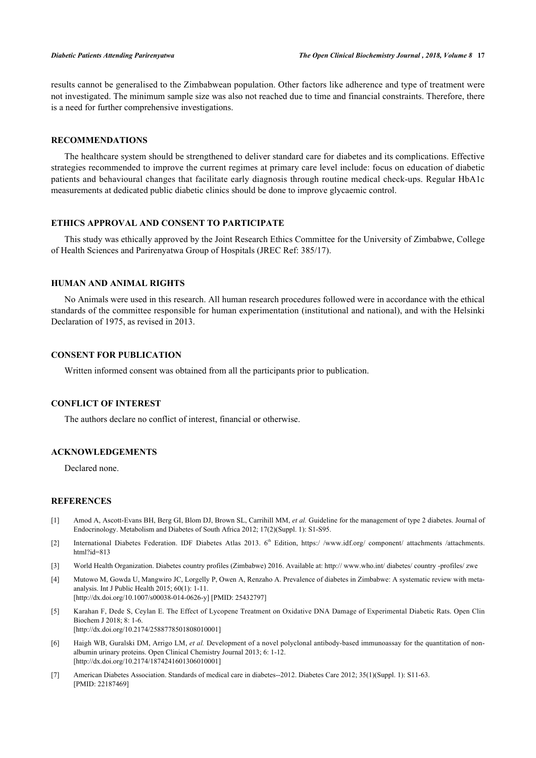results cannot be generalised to the Zimbabwean population. Other factors like adherence and type of treatment were not investigated. The minimum sample size was also not reached due to time and financial constraints. Therefore, there is a need for further comprehensive investigations.

## **RECOMMENDATIONS**

The healthcare system should be strengthened to deliver standard care for diabetes and its complications. Effective strategies recommended to improve the current regimes at primary care level include: focus on education of diabetic patients and behavioural changes that facilitate early diagnosis through routine medical check-ups. Regular HbA1c measurements at dedicated public diabetic clinics should be done to improve glycaemic control.

# **ETHICS APPROVAL AND CONSENT TO PARTICIPATE**

This study was ethically approved by the Joint Research Ethics Committee for the University of Zimbabwe, College of Health Sciences and Parirenyatwa Group of Hospitals (JREC Ref: 385/17).

# **HUMAN AND ANIMAL RIGHTS**

No Animals were used in this research. All human research procedures followed were in accordance with the ethical standards of the committee responsible for human experimentation (institutional and national), and with the Helsinki Declaration of 1975, as revised in 2013.

## **CONSENT FOR PUBLICATION**

Written informed consent was obtained from all the participants prior to publication.

# **CONFLICT OF INTEREST**

The authors declare no conflict of interest, financial or otherwise.

#### **ACKNOWLEDGEMENTS**

Declared none.

#### **REFERENCES**

- <span id="page-5-0"></span>[1] Amod A, Ascott-Evans BH, Berg GI, Blom DJ, Brown SL, Carrihill MM, *et al.* Guideline for the management of type 2 diabetes. Journal of Endocrinology. Metabolism and Diabetes of South Africa 2012; 17(2)(Suppl. 1): S1-S95.
- <span id="page-5-1"></span>[2] International Diabetes Federation. IDF Diabetes Atlas 2013. 6<sup>th</sup> Edition, https://www.idf.org/ component/ attachments /attachments. [html?id=813](https://www.idf.org/component/attachments/attachments.html?id=813)
- <span id="page-5-2"></span>[3] World Health Organization. Diabetes country profiles (Zimbabwe) 2016. Available at: [http:// www.who.int/ diabetes/ country -profiles/ zwe](http://www.who.int/diabetes/country-profiles/zwe)
- <span id="page-5-3"></span>[4] Mutowo M, Gowda U, Mangwiro JC, Lorgelly P, Owen A, Renzaho A. Prevalence of diabetes in Zimbabwe: A systematic review with metaanalysis. Int J Public Health 2015; 60(1): 1-11. [\[http://dx.doi.org/10.1007/s00038-014-0626-y\]](http://dx.doi.org/10.1007/s00038-014-0626-y) [PMID: [25432797](http://www.ncbi.nlm.nih.gov/pubmed/25432797)]
- <span id="page-5-4"></span>[5] Karahan F, Dede S, Ceylan E. The Effect of Lycopene Treatment on Oxidative DNA Damage of Experimental Diabetic Rats. Open Clin Biochem J 2018; 8: 1-6. [\[http://dx.doi.org/10.2174/2588778501808010001\]](http://dx.doi.org/10.2174/2588778501808010001)
- <span id="page-5-5"></span>[6] Haigh WB, Guralski DM, Arrigo LM, *et al.* Development of a novel polyclonal antibody-based immunoassay for the quantitation of nonalbumin urinary proteins. Open Clinical Chemistry Journal 2013; 6: 1-12. [\[http://dx.doi.org/10.2174/1874241601306010001\]](http://dx.doi.org/10.2174/1874241601306010001)
- <span id="page-5-6"></span>[7] American Diabetes Association. Standards of medical care in diabetes--2012. Diabetes Care 2012; 35(1)(Suppl. 1): S11-63. [PMID: [22187469\]](http://www.ncbi.nlm.nih.gov/pubmed/22187469)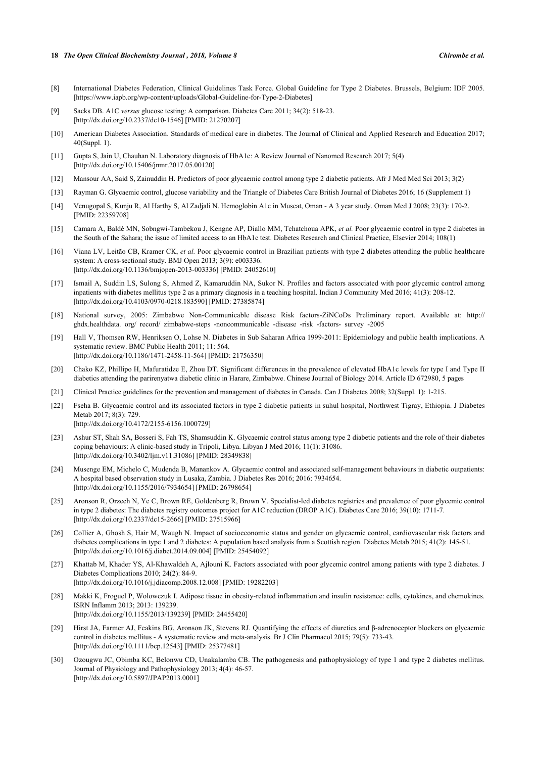#### **18** *The Open Clinical Biochemistry Journal , 2018, Volume 8 Chirombe et al.*

- <span id="page-6-0"></span>[8] International Diabetes Federation, Clinical Guidelines Task Force. Global Guideline for Type 2 Diabetes. Brussels, Belgium: IDF 2005. [https://www.iapb.org/wp-content/uploads/Global-Guideline-for-Type-2-Diabetes]
- <span id="page-6-1"></span>[9] Sacks DB. A1C *versus* glucose testing: A comparison. Diabetes Care 2011; 34(2): 518-23. [\[http://dx.doi.org/10.2337/dc10-1546](http://dx.doi.org/10.2337/dc10-1546)] [PMID: [21270207\]](http://www.ncbi.nlm.nih.gov/pubmed/21270207)
- <span id="page-6-2"></span>[10] American Diabetes Association. Standards of medical care in diabetes. The Journal of Clinical and Applied Research and Education 2017; 40(Suppl. 1).
- <span id="page-6-3"></span>[11] Gupta S, Jain U, Chauhan N. Laboratory diagnosis of HbA1c: A Review Journal of Nanomed Research 2017; 5(4) [\[http://dx.doi.org/10.15406/jnmr.2017.05.00120\]](http://dx.doi.org/10.15406/jnmr.2017.05.00120)
- <span id="page-6-4"></span>[12] Mansour AA, Said S, Zainuddin H. Predictors of poor glycaemic control among type 2 diabetic patients. Afr J Med Med Sci 2013; 3(2)
- <span id="page-6-5"></span>[13] Rayman G. Glycaemic control, glucose variability and the Triangle of Diabetes Care British Journal of Diabetes 2016; 16 (Supplement 1)
- <span id="page-6-6"></span>[14] Venugopal S, Kunju R, Al Harthy S, Al Zadjali N. Hemoglobin A1c in Muscat, Oman - A 3 year study. Oman Med J 2008; 23(3): 170-2. [PMID: [22359708\]](http://www.ncbi.nlm.nih.gov/pubmed/22359708)
- <span id="page-6-7"></span>[15] Camara A, Baldé MN, Sobngwi-Tambekou J, Kengne AP, Diallo MM, Tchatchoua APK, *et al.* Poor glycaemic control in type 2 diabetes in the South of the Sahara; the issue of limited access to an HbA1c test. Diabetes Research and Clinical Practice, Elsevier 2014; 108(1)
- <span id="page-6-8"></span>[16] Viana LV, Leitão CB, Kramer CK, *et al.* Poor glycaemic control in Brazilian patients with type 2 diabetes attending the public healthcare system: A cross-sectional study. BMJ Open 2013; 3(9): e003336. [\[http://dx.doi.org/10.1136/bmjopen-2013-003336](http://dx.doi.org/10.1136/bmjopen-2013-003336)] [PMID: [24052610\]](http://www.ncbi.nlm.nih.gov/pubmed/24052610)
- <span id="page-6-9"></span>[17] Ismail A, Suddin LS, Sulong S, Ahmed Z, Kamaruddin NA, Sukor N. Profiles and factors associated with poor glycemic control among inpatients with diabetes mellitus type 2 as a primary diagnosis in a teaching hospital. Indian J Community Med 2016; 41(3): 208-12. [\[http://dx.doi.org/10.4103/0970-0218.183590](http://dx.doi.org/10.4103/0970-0218.183590)] [PMID: [27385874](http://www.ncbi.nlm.nih.gov/pubmed/27385874)]
- <span id="page-6-10"></span>[18] National survey, 2005: Zimbabwe Non-Communicable disease Risk factors-ZiNCoDs Preliminary report. Available at: [http://](http://ghdx.healthdata.org/record/zimbabwe-steps-noncommunicable-disease-risk-factors-survey-2005) [ghdx.healthdata. org/ record/ zimbabwe-steps -noncommunicable -disease -risk -factors- survey -2005](http://ghdx.healthdata.org/record/zimbabwe-steps-noncommunicable-disease-risk-factors-survey-2005)
- <span id="page-6-11"></span>[19] Hall V, Thomsen RW, Henriksen O, Lohse N. Diabetes in Sub Saharan Africa 1999-2011: Epidemiology and public health implications. A systematic review. BMC Public Health 2011; 11: 564. [\[http://dx.doi.org/10.1186/1471-2458-11-564\]](http://dx.doi.org/10.1186/1471-2458-11-564) [PMID: [21756350](http://www.ncbi.nlm.nih.gov/pubmed/21756350)]
- <span id="page-6-12"></span>[20] Chako KZ, Phillipo H, Mafuratidze E, Zhou DT. Significant differences in the prevalence of elevated HbA1c levels for type I and Type II diabetics attending the parirenyatwa diabetic clinic in Harare, Zimbabwe. Chinese Journal of Biology 2014. Article ID 672980, 5 pages
- <span id="page-6-13"></span>[21] Clinical Practice guidelines for the prevention and management of diabetes in Canada. Can J Diabetes 2008; 32(Suppl. 1): 1-215.
- <span id="page-6-14"></span>[22] Fseha B. Glycaemic control and its associated factors in type 2 diabetic patients in suhul hospital, Northwest Tigray, Ethiopia. J Diabetes Metab 2017; 8(3): 729.

[\[http://dx.doi.org/10.4172/2155-6156.1000729](http://dx.doi.org/10.4172/2155-6156.1000729)]

- <span id="page-6-15"></span>[23] Ashur ST, Shah SA, Bosseri S, Fah TS, Shamsuddin K. Glycaemic control status among type 2 diabetic patients and the role of their diabetes coping behaviours: A clinic-based study in Tripoli, Libya. Libyan J Med 2016; 11(1): 31086. [\[http://dx.doi.org/10.3402/ljm.v11.31086](http://dx.doi.org/10.3402/ljm.v11.31086)] [PMID: [28349838](http://www.ncbi.nlm.nih.gov/pubmed/28349838)]
- <span id="page-6-16"></span>[24] Musenge EM, Michelo C, Mudenda B, Manankov A. Glycaemic control and associated self-management behaviours in diabetic outpatients: A hospital based observation study in Lusaka, Zambia. J Diabetes Res 2016; 2016: 7934654. [\[http://dx.doi.org/10.1155/2016/7934654](http://dx.doi.org/10.1155/2016/7934654)] [PMID: [26798654\]](http://www.ncbi.nlm.nih.gov/pubmed/26798654)
- <span id="page-6-17"></span>[25] Aronson R, Orzech N, Ye C, Brown RE, Goldenberg R, Brown V. Specialist-led diabetes registries and prevalence of poor glycemic control in type 2 diabetes: The diabetes registry outcomes project for A1C reduction (DROP A1C). Diabetes Care 2016; 39(10): 1711-7. [\[http://dx.doi.org/10.2337/dc15-2666](http://dx.doi.org/10.2337/dc15-2666)] [PMID: [27515966\]](http://www.ncbi.nlm.nih.gov/pubmed/27515966)
- <span id="page-6-18"></span>[26] Collier A, Ghosh S, Hair M, Waugh N. Impact of socioeconomic status and gender on glycaemic control, cardiovascular risk factors and diabetes complications in type 1 and 2 diabetes: A population based analysis from a Scottish region. Diabetes Metab 2015; 41(2): 145-51. [\[http://dx.doi.org/10.1016/j.diabet.2014.09.004\]](http://dx.doi.org/10.1016/j.diabet.2014.09.004) [PMID: [25454092](http://www.ncbi.nlm.nih.gov/pubmed/25454092)]
- <span id="page-6-19"></span>[27] Khattab M, Khader YS, Al-Khawaldeh A, Ajlouni K. Factors associated with poor glycemic control among patients with type 2 diabetes. J Diabetes Complications 2010; 24(2): 84-9. [\[http://dx.doi.org/10.1016/j.jdiacomp.2008.12.008\]](http://dx.doi.org/10.1016/j.jdiacomp.2008.12.008) [PMID: [19282203](http://www.ncbi.nlm.nih.gov/pubmed/19282203)]
- <span id="page-6-20"></span>[28] Makki K, Froguel P, Wolowczuk I. Adipose tissue in obesity-related inflammation and insulin resistance: cells, cytokines, and chemokines. ISRN Inflamm 2013; 2013: 139239. [\[http://dx.doi.org/10.1155/2013/139239](http://dx.doi.org/10.1155/2013/139239)] [PMID: [24455420\]](http://www.ncbi.nlm.nih.gov/pubmed/24455420)
- <span id="page-6-21"></span>[29] Hirst JA, Farmer AJ, Feakins BG, Aronson JK, Stevens RJ. Quantifying the effects of diuretics and β-adrenoceptor blockers on glycaemic control in diabetes mellitus - A systematic review and meta-analysis. Br J Clin Pharmacol 2015; 79(5): 733-43. [\[http://dx.doi.org/10.1111/bcp.12543](http://dx.doi.org/10.1111/bcp.12543)] [PMID: [25377481\]](http://www.ncbi.nlm.nih.gov/pubmed/25377481)
- <span id="page-6-22"></span>[30] Ozougwu JC, Obimba KC, Belonwu CD, Unakalamba CB. The pathogenesis and pathophysiology of type 1 and type 2 diabetes mellitus. Journal of Physiology and Pathophysiology 2013; 4(4): 46-57. [\[http://dx.doi.org/10.5897/JPAP2013.0001\]](http://dx.doi.org/10.5897/JPAP2013.0001)